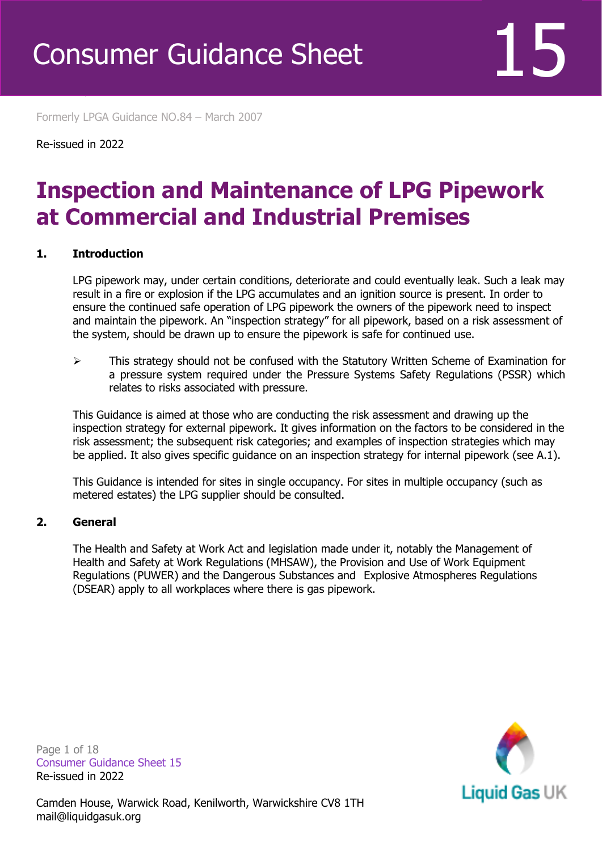Formerly LPGA Guidance NO.84 – March 2007

Re-issued in 2022

Revised April 2016

### **Inspection and Maintenance of LPG Pipework at Commercial and Industrial Premises**

#### **1. Introduction**

LPG pipework may, under certain conditions, deteriorate and could eventually leak. Such a leak may result in a fire or explosion if the LPG accumulates and an ignition source is present. In order to ensure the continued safe operation of LPG pipework the owners of the pipework need to inspect and maintain the pipework. An "inspection strategy" for all pipework, based on a risk assessment of the system, should be drawn up to ensure the pipework is safe for continued use.

➢ This strategy should not be confused with the Statutory Written Scheme of Examination for a pressure system required under the Pressure Systems Safety Regulations (PSSR) which relates to risks associated with pressure.

This Guidance is aimed at those who are conducting the risk assessment and drawing up the inspection strategy for external pipework. It gives information on the factors to be considered in the risk assessment; the subsequent risk categories; and examples of inspection strategies which may be applied. It also gives specific guidance on an inspection strategy for internal pipework (see A.1).

This Guidance is intended for sites in single occupancy. For sites in multiple occupancy (such as metered estates) the LPG supplier should be consulted.

#### **2. General**

The Health and Safety at Work Act and legislation made under it, notably the Management of Health and Safety at Work Regulations (MHSAW), the Provision and Use of Work Equipment Regulations (PUWER) and the Dangerous Substances and Explosive Atmospheres Regulations (DSEAR) apply to all workplaces where there is gas pipework.

Page 1 of 18 Consumer Guidance Sheet 15 Re-issued in 2022

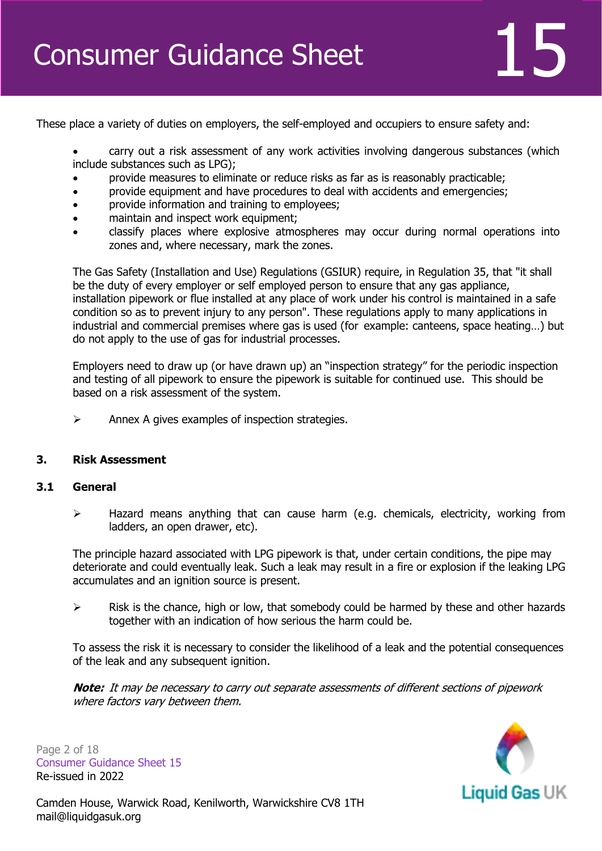

These place a variety of duties on employers, the self-employed and occupiers to ensure safety and:

• carry out a risk assessment of any work activities involving dangerous substances (which include substances such as LPG);

- provide measures to eliminate or reduce risks as far as is reasonably practicable;
- provide equipment and have procedures to deal with accidents and emergencies;
- provide information and training to employees;
- maintain and inspect work equipment;
- classify places where explosive atmospheres may occur during normal operations into zones and, where necessary, mark the zones.

The Gas Safety (Installation and Use) Regulations (GSIUR) require, in Regulation 35, that "it shall be the duty of every employer or self employed person to ensure that any gas appliance, installation pipework or flue installed at any place of work under his control is maintained in a safe condition so as to prevent injury to any person". These regulations apply to many applications in industrial and commercial premises where gas is used (for example: canteens, space heating…) but do not apply to the use of gas for industrial processes.

Employers need to draw up (or have drawn up) an "inspection strategy" for the periodic inspection and testing of all pipework to ensure the pipework is suitable for continued use. This should be based on a risk assessment of the system.

 $\triangleright$  Annex A gives examples of inspection strategies.

#### **3. Risk Assessment**

#### **3.1 General**

➢ Hazard means anything that can cause harm (e.g. chemicals, electricity, working from ladders, an open drawer, etc).

The principle hazard associated with LPG pipework is that, under certain conditions, the pipe may deteriorate and could eventually leak. Such a leak may result in a fire or explosion if the leaking LPG accumulates and an ignition source is present.

 $\triangleright$  Risk is the chance, high or low, that somebody could be harmed by these and other hazards together with an indication of how serious the harm could be.

To assess the risk it is necessary to consider the likelihood of a leak and the potential consequences of the leak and any subsequent ignition.

**Note:** It may be necessary to carry out separate assessments of different sections of pipework where factors vary between them.

Page 2 of 18 Consumer Guidance Sheet 15 Re-issued in 2022

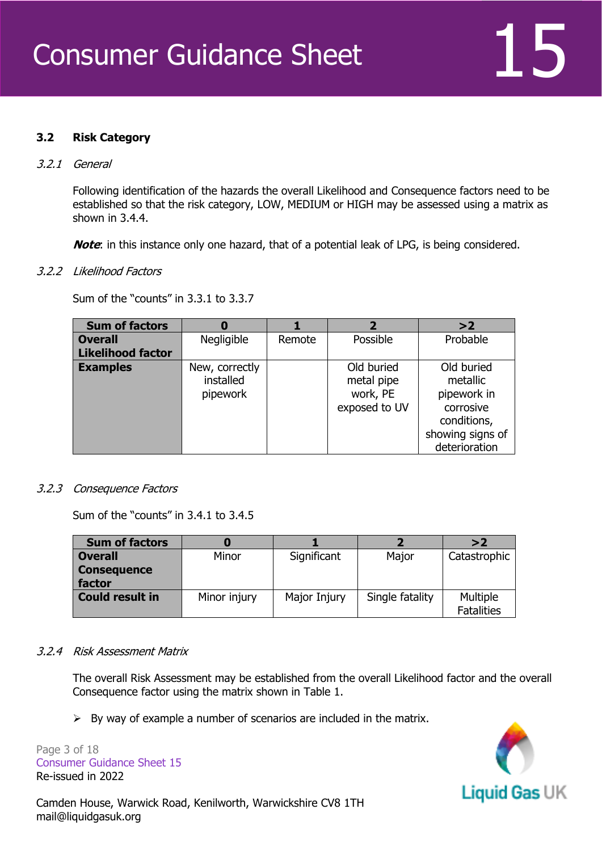#### **3.2 Risk Category**

#### 3.2.1 General

Following identification of the hazards the overall Likelihood and Consequence factors need to be established so that the risk category, LOW, MEDIUM or HIGH may be assessed using a matrix as shown in 3.4.4.

**Note:** in this instance only one hazard, that of a potential leak of LPG, is being considered.

#### 3.2.2 Likelihood Factors

Sum of the "counts" in 3.3.1 to 3.3.7

| <b>Sum of factors</b>    | O                                       |        | $\overline{\mathbf{2}}$                               | >2                                                 |
|--------------------------|-----------------------------------------|--------|-------------------------------------------------------|----------------------------------------------------|
| <b>Overall</b>           | Negligible                              | Remote | Possible                                              | Probable                                           |
| <b>Likelihood factor</b> |                                         |        |                                                       |                                                    |
| <b>Examples</b>          | New, correctly<br>installed<br>pipework |        | Old buried<br>metal pipe<br>work, PE<br>exposed to UV | Old buried<br>metallic<br>pipework in<br>corrosive |
|                          |                                         |        |                                                       | conditions,<br>showing signs of<br>deterioration   |

#### 3.2.3 Consequence Factors

Sum of the "counts" in 3.4.1 to 3.4.5

| <b>Sum of factors</b>        |              |              |                 | >2                            |
|------------------------------|--------------|--------------|-----------------|-------------------------------|
| <b>Overall</b>               | Minor        | Significant  | Major           | Catastrophic                  |
| <b>Consequence</b><br>factor |              |              |                 |                               |
| <b>Could result in</b>       | Minor injury | Major Injury | Single fatality | Multiple<br><b>Fatalities</b> |

#### 3.2.4 Risk Assessment Matrix

The overall Risk Assessment may be established from the overall Likelihood factor and the overall Consequence factor using the matrix shown in Table 1.

 $\triangleright$  By way of example a number of scenarios are included in the matrix.

Page 3 of 18 Consumer Guidance Sheet 15 Re-issued in 2022

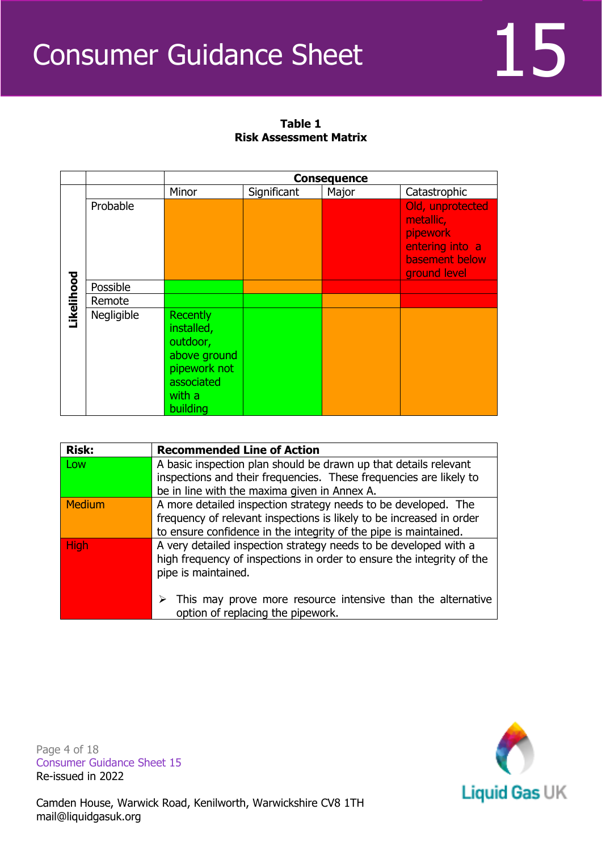

|           |            | <b>Consequence</b>                                                                                            |             |       |                                                                                                       |
|-----------|------------|---------------------------------------------------------------------------------------------------------------|-------------|-------|-------------------------------------------------------------------------------------------------------|
|           |            | Minor                                                                                                         | Significant | Major | Catastrophic                                                                                          |
|           | Probable   |                                                                                                               |             |       | Old, unprotected<br>metallic,<br><b>pipework</b><br>entering into a<br>basement below<br>ground level |
|           | Possible   |                                                                                                               |             |       |                                                                                                       |
|           | Remote     |                                                                                                               |             |       |                                                                                                       |
| ikelihood | Negligible | <b>Recently</b><br>installed,<br>outdoor,<br>above ground<br>pipework not<br>associated<br>with a<br>building |             |       |                                                                                                       |

### **Table 1 Risk Assessment Matrix**

| <b>Risk:</b> | <b>Recommended Line of Action</b>                                            |
|--------------|------------------------------------------------------------------------------|
| Low          | A basic inspection plan should be drawn up that details relevant             |
|              | inspections and their frequencies. These frequencies are likely to           |
|              | be in line with the maxima given in Annex A.                                 |
| Medium       | A more detailed inspection strategy needs to be developed. The               |
|              | frequency of relevant inspections is likely to be increased in order         |
|              | to ensure confidence in the integrity of the pipe is maintained.             |
| <b>High</b>  | A very detailed inspection strategy needs to be developed with a             |
|              | high frequency of inspections in order to ensure the integrity of the        |
|              | pipe is maintained.                                                          |
|              |                                                                              |
|              | $\triangleright$ This may prove more resource intensive than the alternative |
|              | option of replacing the pipework.                                            |

Page 4 of 18 Consumer Guidance Sheet 15 Re-issued in 2022

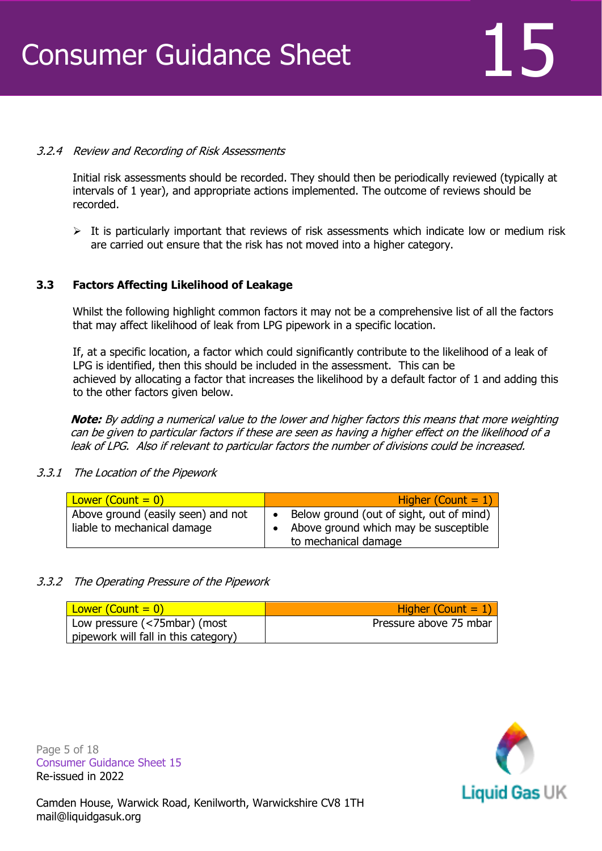### 3.2.4 Review and Recording of Risk Assessments

Initial risk assessments should be recorded. They should then be periodically reviewed (typically at intervals of 1 year), and appropriate actions implemented. The outcome of reviews should be recorded.

 $\triangleright$  It is particularly important that reviews of risk assessments which indicate low or medium risk are carried out ensure that the risk has not moved into a higher category.

### **3.3 Factors Affecting Likelihood of Leakage**

Whilst the following highlight common factors it may not be a comprehensive list of all the factors that may affect likelihood of leak from LPG pipework in a specific location.

If, at a specific location, a factor which could significantly contribute to the likelihood of a leak of LPG is identified, then this should be included in the assessment. This can be achieved by allocating a factor that increases the likelihood by a default factor of 1 and adding this to the other factors given below.

**Note:** By adding a numerical value to the lower and higher factors this means that more weighting can be given to particular factors if these are seen as having a higher effect on the likelihood of a leak of LPG. Also if relevant to particular factors the number of divisions could be increased.

#### 3.3.1 The Location of the Pipework

| Lower (Count $= 0$ )                                              | Higher (Count = $1$ )                                                                                     |
|-------------------------------------------------------------------|-----------------------------------------------------------------------------------------------------------|
| Above ground (easily seen) and not<br>liable to mechanical damage | Below ground (out of sight, out of mind)<br>Above ground which may be susceptible<br>to mechanical damage |

#### 3.3.2 The Operating Pressure of the Pipework

| Lower (Count $= 0$ )                 | Higher (Count $= 1$ )  |
|--------------------------------------|------------------------|
| Low pressure (<75mbar) (most         | Pressure above 75 mbar |
| pipework will fall in this category) |                        |

Page 5 of 18 Consumer Guidance Sheet 15 Re-issued in 2022

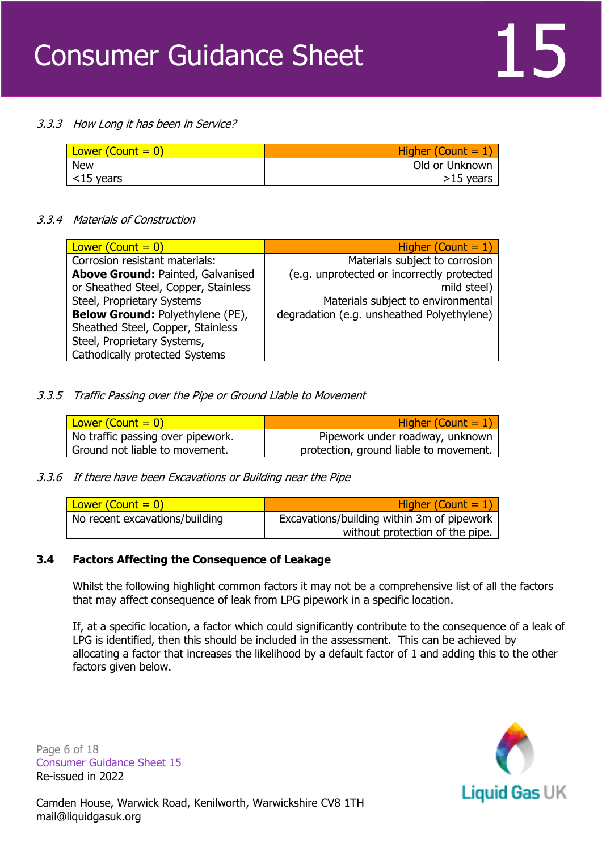#### 3.3.3 How Long it has been in Service?

| Lower $(Count = 0)$ | Higher (Count $= 1$ ) |
|---------------------|-----------------------|
| <b>New</b>          | Old or Unknown        |
| $\vert$ <15 years   | $>15$ years           |

#### 3.3.4 Materials of Construction

| Lower (Count $= 0$ )                    | Higher (Count $= 1$ )                      |
|-----------------------------------------|--------------------------------------------|
| Corrosion resistant materials:          | Materials subject to corrosion             |
| Above Ground: Painted, Galvanised       | (e.g. unprotected or incorrectly protected |
| or Sheathed Steel, Copper, Stainless    | mild steel)                                |
| Steel, Proprietary Systems              | Materials subject to environmental         |
| <b>Below Ground: Polyethylene (PE),</b> | degradation (e.g. unsheathed Polyethylene) |
| Sheathed Steel, Copper, Stainless       |                                            |
| Steel, Proprietary Systems,             |                                            |
| <b>Cathodically protected Systems</b>   |                                            |
|                                         |                                            |

#### 3.3.5 Traffic Passing over the Pipe or Ground Liable to Movement

| Lower (Count $= 0$ )              | Higher (Count $= 1$ )                  |
|-----------------------------------|----------------------------------------|
| No traffic passing over pipework. | Pipework under roadway, unknown        |
| Ground not liable to movement.    | protection, ground liable to movement. |

#### 3.3.6 If there have been Excavations or Building near the Pipe

| Lower (Count $= 0$ )           | Higher (Count $= 1$ )                      |
|--------------------------------|--------------------------------------------|
| No recent excavations/building | Excavations/building within 3m of pipework |
|                                | without protection of the pipe.            |

#### **3.4 Factors Affecting the Consequence of Leakage**

Whilst the following highlight common factors it may not be a comprehensive list of all the factors that may affect consequence of leak from LPG pipework in a specific location.

If, at a specific location, a factor which could significantly contribute to the consequence of a leak of LPG is identified, then this should be included in the assessment. This can be achieved by allocating a factor that increases the likelihood by a default factor of 1 and adding this to the other factors given below.

Page 6 of 18 Consumer Guidance Sheet 15 Re-issued in 2022

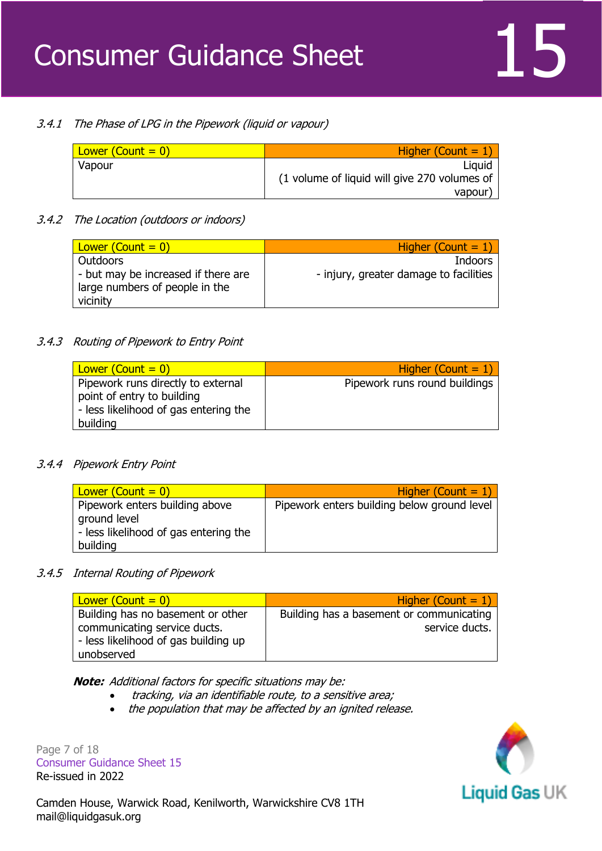### 3.4.1 The Phase of LPG in the Pipework (liquid or vapour)

| Lower $\left($ Count = $0\right)$ | Higher (Count $= 1$ )                        |
|-----------------------------------|----------------------------------------------|
| Vapour                            | Liguid                                       |
|                                   | (1 volume of liquid will give 270 volumes of |
|                                   | vapour                                       |

### 3.4.2 The Location (outdoors or indoors)

| Lower (Count $= 0$ )                | Higher (Count $= 1$ )                  |
|-------------------------------------|----------------------------------------|
| <b>Outdoors</b>                     | <b>Indoors</b>                         |
| - but may be increased if there are | - injury, greater damage to facilities |
| large numbers of people in the      |                                        |
| vicinity                            |                                        |

### 3.4.3 Routing of Pipework to Entry Point

| Lower $(Count = 0)$                                                                                                   | Higher (Count $= 1$ )         |
|-----------------------------------------------------------------------------------------------------------------------|-------------------------------|
| Pipework runs directly to external<br>point of entry to building<br>- less likelihood of gas entering the<br>building | Pipework runs round buildings |

#### 3.4.4 Pipework Entry Point

| Lower (Count $= 0$ )                                                                                | Higher (Count = $1$ )                       |
|-----------------------------------------------------------------------------------------------------|---------------------------------------------|
| Pipework enters building above<br>ground level<br>- less likelihood of gas entering the<br>building | Pipework enters building below ground level |

#### 3.4.5 Internal Routing of Pipework

| Lower $(Count = 0)$                  | Higher (Count $= 1$ )                    |
|--------------------------------------|------------------------------------------|
| Building has no basement or other    | Building has a basement or communicating |
| communicating service ducts.         | service ducts.                           |
| - less likelihood of gas building up |                                          |
| unobserved                           |                                          |

**Note:** Additional factors for specific situations may be:

- tracking, via an identifiable route, to a sensitive area;
- the population that may be affected by an ignited release.

Page 7 of 18 Consumer Guidance Sheet 15 Re-issued in 2022

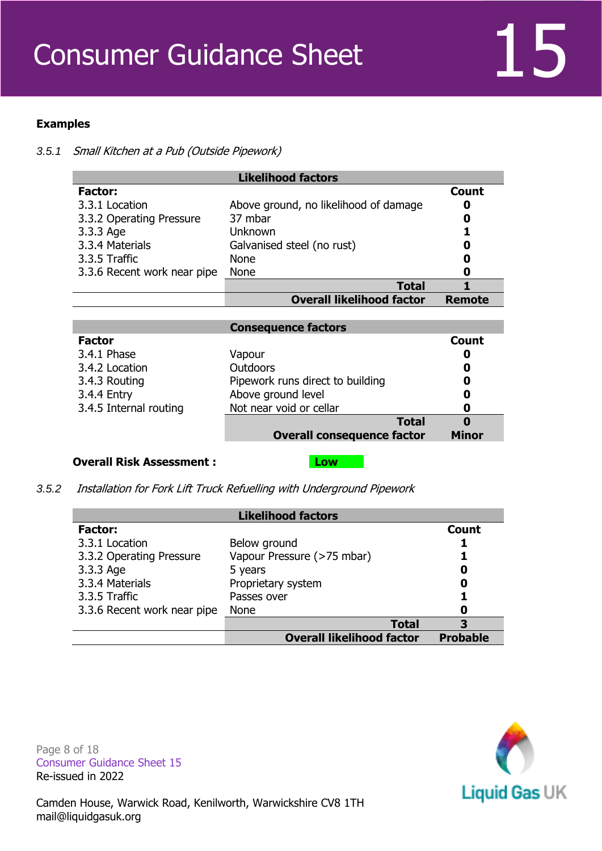### **Examples**

*3.5.1* Small Kitchen at a Pub (Outside Pipework)

|                             | <b>Likelihood factors</b>             |               |
|-----------------------------|---------------------------------------|---------------|
| <b>Factor:</b>              |                                       | <b>Count</b>  |
| 3.3.1 Location              | Above ground, no likelihood of damage | O             |
| 3.3.2 Operating Pressure    | 37 mbar                               | 0             |
| 3.3.3 Age                   | Unknown                               |               |
| 3.3.4 Materials             | Galvanised steel (no rust)            | O             |
| 3.3.5 Traffic               | <b>None</b>                           | 0             |
| 3.3.6 Recent work near pipe | None                                  | 0             |
|                             | <b>Total</b>                          |               |
|                             | <b>Overall likelihood factor</b>      | <b>Remote</b> |
|                             |                                       |               |
|                             | <b>Consequence factors</b>            |               |
| <b>Factor</b>               |                                       | <b>Count</b>  |
| 3.4.1 Phase                 | Vapour                                | O             |
| 3.4.2 Location              | <b>Outdoors</b>                       | O             |
| ∽ ייידי בחיר מי             | Dinawayk wuqo diyaat ta la didina     |               |

|                        | <b>Overall consequence factor</b> | <b>Minor</b> |  |
|------------------------|-----------------------------------|--------------|--|
|                        | <b>Total</b>                      |              |  |
| 3.4.5 Internal routing | Not near void or cellar           |              |  |
| 3.4.4 Entry            | Above ground level                |              |  |
| 3.4.3 Routing          | Pipework runs direct to building  |              |  |
| J.T.Z LULALIUIT        | Uuuuui 3                          |              |  |

#### **Overall Risk Assessment : Low**

*3.5.2* Installation for Fork Lift Truck Refuelling with Underground Pipework

| <b>Likelihood factors</b>   |                                  |                 |  |
|-----------------------------|----------------------------------|-----------------|--|
| <b>Factor:</b>              |                                  | Count           |  |
| 3.3.1 Location              | Below ground                     |                 |  |
| 3.3.2 Operating Pressure    | Vapour Pressure (>75 mbar)       |                 |  |
| 3.3.3 Age                   | 5 years                          | O               |  |
| 3.3.4 Materials             | Proprietary system               | 0               |  |
| 3.3.5 Traffic               | Passes over                      |                 |  |
| 3.3.6 Recent work near pipe | None                             | O               |  |
|                             | <b>Total</b>                     | 3               |  |
|                             | <b>Overall likelihood factor</b> | <b>Probable</b> |  |

Page 8 of 18 Consumer Guidance Sheet 15 Re-issued in 2022

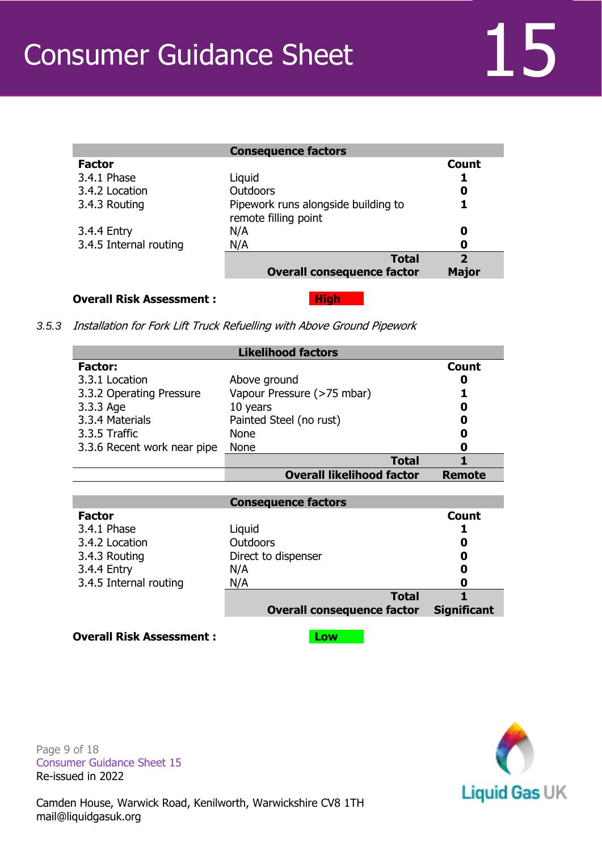| <b>Consequence factors</b>                                  |                                         |
|-------------------------------------------------------------|-----------------------------------------|
|                                                             | Count                                   |
| Liquid                                                      |                                         |
| <b>Outdoors</b>                                             | 0                                       |
| Pipework runs alongside building to<br>remote filling point |                                         |
| N/A                                                         | 0                                       |
| N/A                                                         | 0                                       |
| <b>Total</b><br><b>Overall consequence factor</b>           | $\overline{\mathbf{z}}$<br><b>Major</b> |
|                                                             |                                         |

#### **Overall Risk Assessment : The High**

*3.5.3* Installation for Fork Lift Truck Refuelling with Above Ground Pipework

|                             | <b>Likelihood factors</b>        |               |
|-----------------------------|----------------------------------|---------------|
| <b>Factor:</b>              |                                  | Count         |
| 3.3.1 Location              | Above ground                     | O             |
| 3.3.2 Operating Pressure    | Vapour Pressure (>75 mbar)       |               |
| 3.3.3 Age                   | 10 years                         | 0             |
| 3.3.4 Materials             | Painted Steel (no rust)          | 0             |
| 3.3.5 Traffic               | <b>None</b>                      | 0             |
| 3.3.6 Recent work near pipe | <b>None</b>                      | 0             |
|                             | Total                            |               |
|                             |                                  |               |
|                             | <b>Overall likelihood factor</b> | <b>Remote</b> |
|                             |                                  |               |
|                             | <b>Consequence factors</b>       |               |
| <b>Factor</b>               |                                  | <b>Count</b>  |
| 3.4.1 Phase                 | Liquid                           |               |
| 3.4.2 Location              | Outdoors                         | 0             |
| 3.4.3 Routing               | Direct to dispenser              | 0             |
| 3.4.4 Entry                 | N/A                              | O             |

**Overall Risk Assessment : Low** 

Page 9 of 18 Consumer Guidance Sheet 15 Re-issued in 2022



**Total 1**

**Overall consequence factor Significant**

Camden House, Warwick Road, Kenilworth, Warwickshire CV8 1TH mail@liquidgasuk.org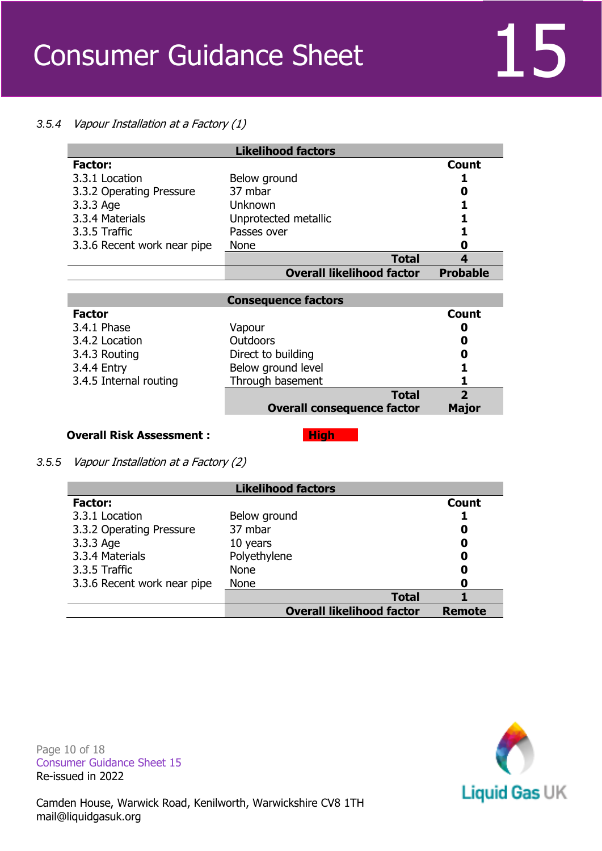

#### *3.5.4* Vapour Installation at a Factory (1)

|                             | <b>Likelihood factors</b>        |                  |
|-----------------------------|----------------------------------|------------------|
| <b>Factor:</b>              |                                  | Count            |
| 3.3.1 Location              | Below ground                     |                  |
| 3.3.2 Operating Pressure    | 37 mbar                          | 0                |
| 3.3.3 Age                   | Unknown                          |                  |
| 3.3.4 Materials             | Unprotected metallic             |                  |
| 3.3.5 Traffic               | Passes over                      |                  |
| 3.3.6 Recent work near pipe | <b>None</b>                      | 0                |
|                             | <b>Total</b>                     | $\boldsymbol{A}$ |
|                             | <b>Overall likelihood factor</b> | <b>Probable</b>  |

|                        | <b>Consequence factors</b>                        |                   |
|------------------------|---------------------------------------------------|-------------------|
| <b>Factor</b>          |                                                   | Count             |
| 3.4.1 Phase            | Vapour                                            | 0                 |
| 3.4.2 Location         | <b>Outdoors</b>                                   | 0                 |
| 3.4.3 Routing          | Direct to building                                | 0                 |
| 3.4.4 Entry            | Below ground level                                | 1                 |
| 3.4.5 Internal routing | Through basement                                  |                   |
|                        | <b>Total</b><br><b>Overall consequence factor</b> | 2<br><b>Major</b> |

#### **Overall Risk Assessment : The High High**

*3.5.5* Vapour Installation at a Factory (2)

| <b>Likelihood factors</b>   |                                  |               |
|-----------------------------|----------------------------------|---------------|
| <b>Factor:</b>              |                                  | <b>Count</b>  |
| 3.3.1 Location              | Below ground                     |               |
| 3.3.2 Operating Pressure    | 37 mbar                          | 0             |
| 3.3.3 Age                   | 10 years                         | 0             |
| 3.3.4 Materials             | Polyethylene                     | 0             |
| 3.3.5 Traffic               | <b>None</b>                      | 0             |
| 3.3.6 Recent work near pipe | <b>None</b>                      | 0             |
|                             | <b>Total</b>                     |               |
|                             | <b>Overall likelihood factor</b> | <b>Remote</b> |

Page 10 of 18 Consumer Guidance Sheet 15 Re-issued in 2022

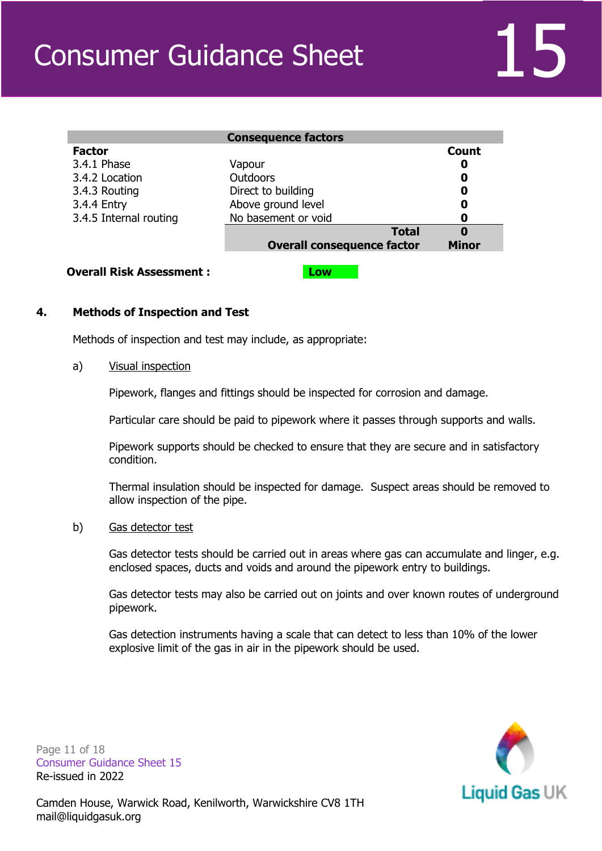|                        | <b>Consequence factors</b>        |              |
|------------------------|-----------------------------------|--------------|
| <b>Factor</b>          |                                   | <b>Count</b> |
| 3.4.1 Phase            | Vapour                            | 0            |
| 3.4.2 Location         | <b>Outdoors</b>                   | 0            |
| 3.4.3 Routing          | Direct to building                | 0            |
| 3.4.4 Entry            | Above ground level                | 0            |
| 3.4.5 Internal routing | No basement or void               | 0            |
|                        | <b>Total</b>                      | 0            |
|                        | <b>Overall consequence factor</b> | <b>Minor</b> |

#### **Overall Risk Assessment : Low**

#### **4. Methods of Inspection and Test**

Methods of inspection and test may include, as appropriate:

#### a) Visual inspection

Pipework, flanges and fittings should be inspected for corrosion and damage.

Particular care should be paid to pipework where it passes through supports and walls.

Pipework supports should be checked to ensure that they are secure and in satisfactory condition.

Thermal insulation should be inspected for damage. Suspect areas should be removed to allow inspection of the pipe.

#### b) Gas detector test

Gas detector tests should be carried out in areas where gas can accumulate and linger, e.g. enclosed spaces, ducts and voids and around the pipework entry to buildings.

Gas detector tests may also be carried out on joints and over known routes of underground pipework.

Gas detection instruments having a scale that can detect to less than 10% of the lower explosive limit of the gas in air in the pipework should be used.



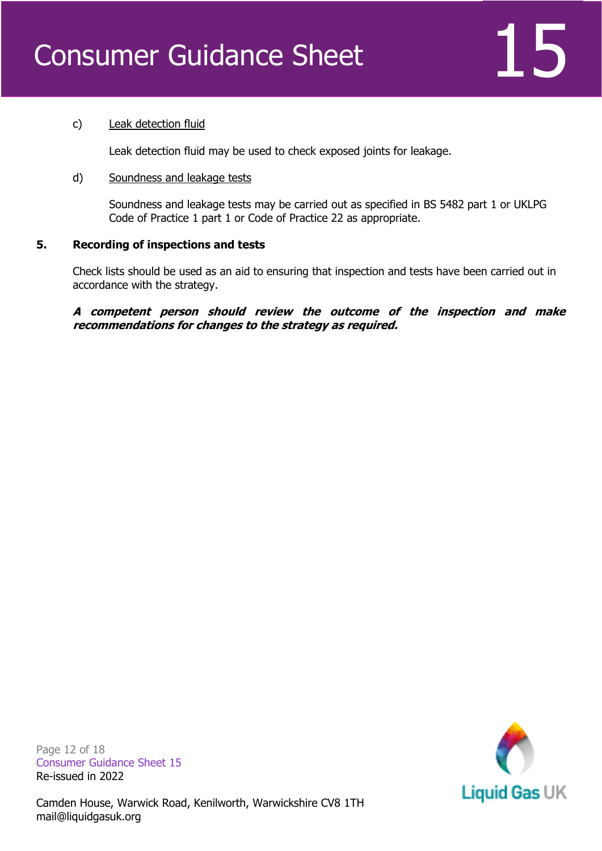

#### c) Leak detection fluid

Leak detection fluid may be used to check exposed joints for leakage.

#### d) Soundness and leakage tests

Soundness and leakage tests may be carried out as specified in BS 5482 part 1 or UKLPG Code of Practice 1 part 1 or Code of Practice 22 as appropriate.

#### **5. Recording of inspections and tests**

Check lists should be used as an aid to ensuring that inspection and tests have been carried out in accordance with the strategy.

**A competent person should review the outcome of the inspection and make recommendations for changes to the strategy as required.**

Page 12 of 18 Consumer Guidance Sheet 15 Re-issued in 2022

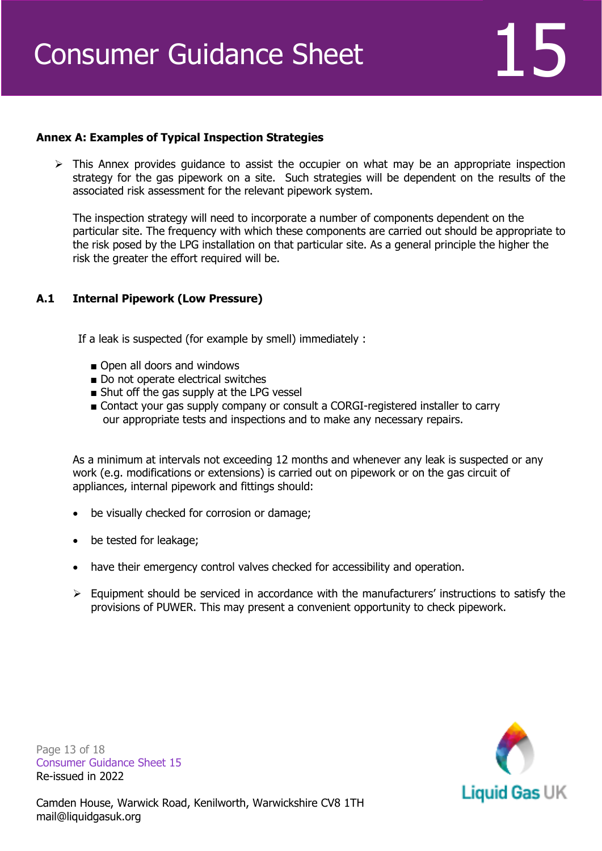

#### **Annex A: Examples of Typical Inspection Strategies**

 $\triangleright$  This Annex provides quidance to assist the occupier on what may be an appropriate inspection strategy for the gas pipework on a site. Such strategies will be dependent on the results of the associated risk assessment for the relevant pipework system.

The inspection strategy will need to incorporate a number of components dependent on the particular site. The frequency with which these components are carried out should be appropriate to the risk posed by the LPG installation on that particular site. As a general principle the higher the risk the greater the effort required will be.

#### **A.1 Internal Pipework (Low Pressure)**

If a leak is suspected (for example by smell) immediately :

- Open all doors and windows
- Do not operate electrical switches
- Shut off the gas supply at the LPG vessel
- Contact your gas supply company or consult a CORGI-registered installer to carry our appropriate tests and inspections and to make any necessary repairs.

As a minimum at intervals not exceeding 12 months and whenever any leak is suspected or any work (e.g. modifications or extensions) is carried out on pipework or on the gas circuit of appliances, internal pipework and fittings should:

- be visually checked for corrosion or damage;
- be tested for leakage;
- have their emergency control valves checked for accessibility and operation.
- ➢ Equipment should be serviced in accordance with the manufacturers' instructions to satisfy the provisions of PUWER. This may present a convenient opportunity to check pipework.

Page 13 of 18 Consumer Guidance Sheet 15 Re-issued in 2022

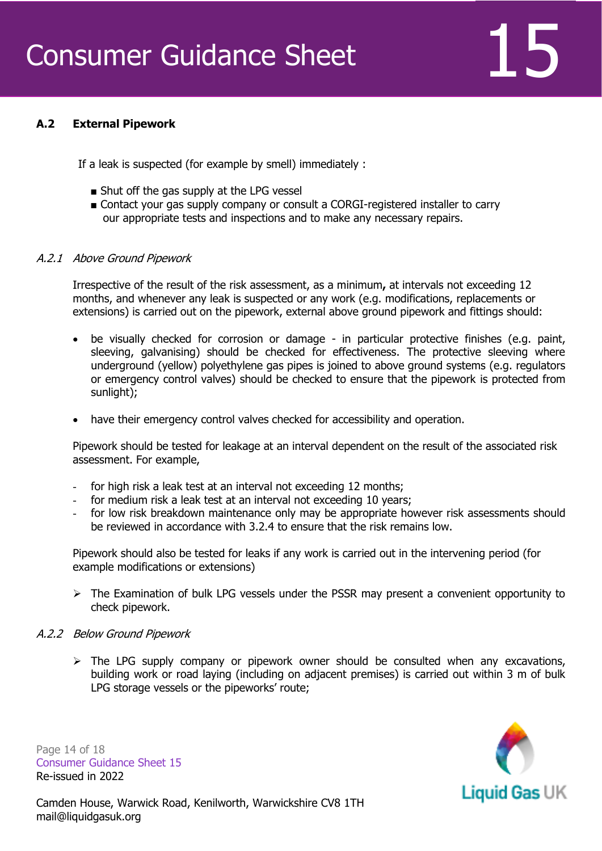

#### **A.2 External Pipework**

If a leak is suspected (for example by smell) immediately :

- Shut off the gas supply at the LPG vessel
- Contact your gas supply company or consult a CORGI-registered installer to carry our appropriate tests and inspections and to make any necessary repairs.

#### A.2.1 Above Ground Pipework

Irrespective of the result of the risk assessment, as a minimum**,** at intervals not exceeding 12 months, and whenever any leak is suspected or any work (e.g. modifications, replacements or extensions) is carried out on the pipework, external above ground pipework and fittings should:

- be visually checked for corrosion or damage in particular protective finishes (e.g. paint, sleeving, galvanising) should be checked for effectiveness. The protective sleeving where underground (yellow) polyethylene gas pipes is joined to above ground systems (e.g. regulators or emergency control valves) should be checked to ensure that the pipework is protected from sunlight);
- have their emergency control valves checked for accessibility and operation.

Pipework should be tested for leakage at an interval dependent on the result of the associated risk assessment. For example,

- for high risk a leak test at an interval not exceeding 12 months;
- for medium risk a leak test at an interval not exceeding 10 years;
- for low risk breakdown maintenance only may be appropriate however risk assessments should be reviewed in accordance with 3.2.4 to ensure that the risk remains low.

Pipework should also be tested for leaks if any work is carried out in the intervening period (for example modifications or extensions)

➢ The Examination of bulk LPG vessels under the PSSR may present a convenient opportunity to check pipework.

#### A.2.2 Below Ground Pipework

 $\triangleright$  The LPG supply company or pipework owner should be consulted when any excavations, building work or road laying (including on adjacent premises) is carried out within 3 m of bulk LPG storage vessels or the pipeworks' route;

Page 14 of 18 Consumer Guidance Sheet 15 Re-issued in 2022

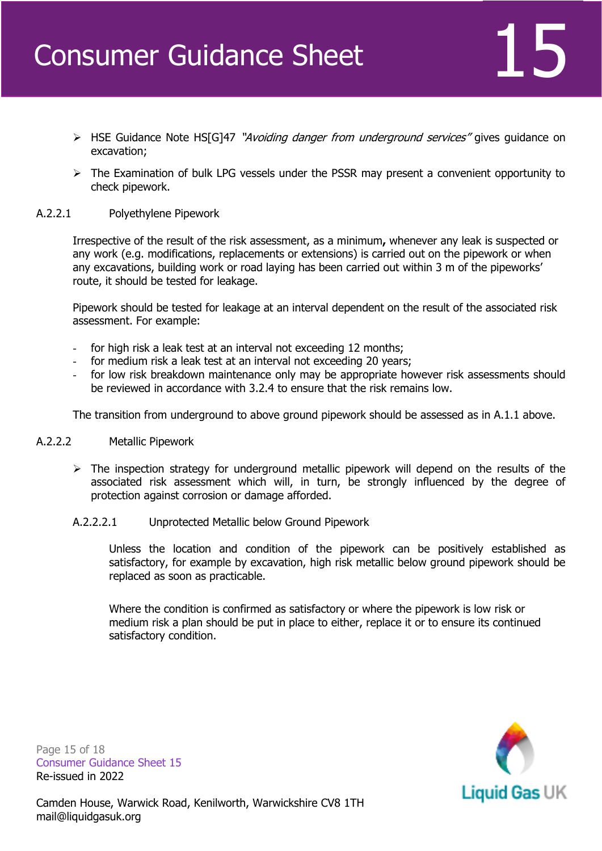- ➢ HSE Guidance Note HS[G]47 "Avoiding danger from underground services" gives guidance on excavation;
- $\triangleright$  The Examination of bulk LPG vessels under the PSSR may present a convenient opportunity to check pipework.

#### A.2.2.1 Polyethylene Pipework

Irrespective of the result of the risk assessment, as a minimum**,** whenever any leak is suspected or any work (e.g. modifications, replacements or extensions) is carried out on the pipework or when any excavations, building work or road laying has been carried out within 3 m of the pipeworks' route, it should be tested for leakage.

Pipework should be tested for leakage at an interval dependent on the result of the associated risk assessment. For example:

- for high risk a leak test at an interval not exceeding 12 months;
- for medium risk a leak test at an interval not exceeding 20 years;
- for low risk breakdown maintenance only may be appropriate however risk assessments should be reviewed in accordance with 3.2.4 to ensure that the risk remains low.

The transition from underground to above ground pipework should be assessed as in A.1.1 above.

#### A.2.2.2 Metallic Pipework

- ➢ The inspection strategy for underground metallic pipework will depend on the results of the associated risk assessment which will, in turn, be strongly influenced by the degree of protection against corrosion or damage afforded.
- A.2.2.2.1 Unprotected Metallic below Ground Pipework

Unless the location and condition of the pipework can be positively established as satisfactory, for example by excavation, high risk metallic below ground pipework should be replaced as soon as practicable.

Where the condition is confirmed as satisfactory or where the pipework is low risk or medium risk a plan should be put in place to either, replace it or to ensure its continued satisfactory condition.

Page 15 of 18 Consumer Guidance Sheet 15 Re-issued in 2022

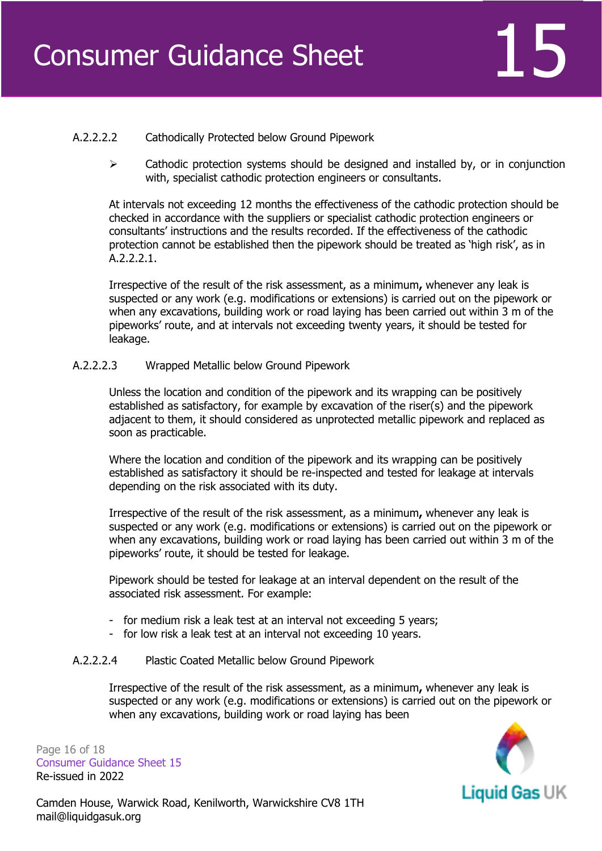

### A.2.2.2.2 Cathodically Protected below Ground Pipework

 $\triangleright$  Cathodic protection systems should be designed and installed by, or in conjunction with, specialist cathodic protection engineers or consultants.

At intervals not exceeding 12 months the effectiveness of the cathodic protection should be checked in accordance with the suppliers or specialist cathodic protection engineers or consultants' instructions and the results recorded. If the effectiveness of the cathodic protection cannot be established then the pipework should be treated as 'high risk', as in A.2.2.2.1.

Irrespective of the result of the risk assessment, as a minimum**,** whenever any leak is suspected or any work (e.g. modifications or extensions) is carried out on the pipework or when any excavations, building work or road laying has been carried out within 3 m of the pipeworks' route, and at intervals not exceeding twenty years, it should be tested for leakage.

#### A.2.2.2.3 Wrapped Metallic below Ground Pipework

Unless the location and condition of the pipework and its wrapping can be positively established as satisfactory, for example by excavation of the riser(s) and the pipework adjacent to them, it should considered as unprotected metallic pipework and replaced as soon as practicable.

Where the location and condition of the pipework and its wrapping can be positively established as satisfactory it should be re-inspected and tested for leakage at intervals depending on the risk associated with its duty.

Irrespective of the result of the risk assessment, as a minimum**,** whenever any leak is suspected or any work (e.g. modifications or extensions) is carried out on the pipework or when any excavations, building work or road laying has been carried out within 3 m of the pipeworks' route, it should be tested for leakage.

Pipework should be tested for leakage at an interval dependent on the result of the associated risk assessment. For example:

- for medium risk a leak test at an interval not exceeding 5 years;
- for low risk a leak test at an interval not exceeding 10 years.

#### A.2.2.2.4 Plastic Coated Metallic below Ground Pipework

Irrespective of the result of the risk assessment, as a minimum**,** whenever any leak is suspected or any work (e.g. modifications or extensions) is carried out on the pipework or when any excavations, building work or road laying has been

Page 16 of 18 Consumer Guidance Sheet 15 Re-issued in 2022

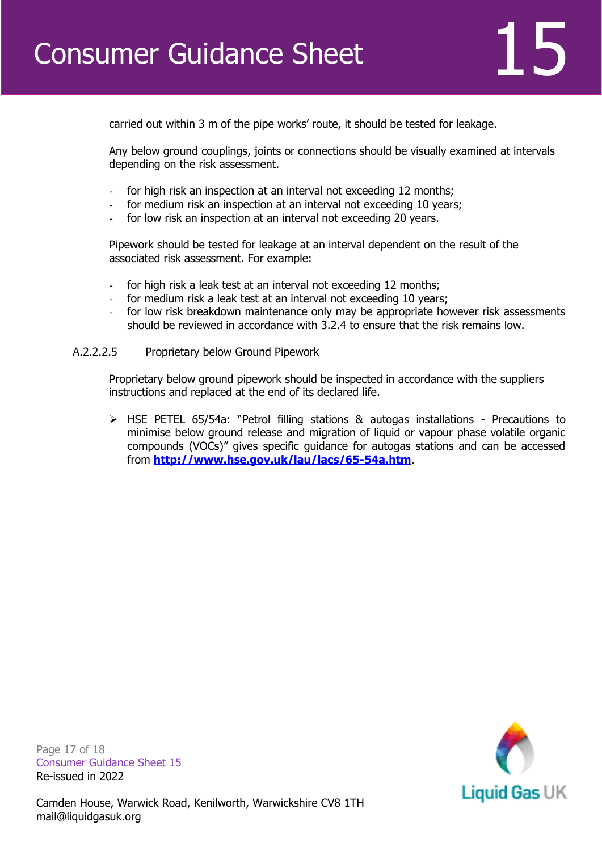

carried out within 3 m of the pipe works' route, it should be tested for leakage.

Any below ground couplings, joints or connections should be visually examined at intervals depending on the risk assessment.

- for high risk an inspection at an interval not exceeding 12 months;
- for medium risk an inspection at an interval not exceeding 10 years;
- for low risk an inspection at an interval not exceeding 20 years.

Pipework should be tested for leakage at an interval dependent on the result of the associated risk assessment. For example:

- for high risk a leak test at an interval not exceeding 12 months;
- for medium risk a leak test at an interval not exceeding 10 years;
- for low risk breakdown maintenance only may be appropriate however risk assessments should be reviewed in accordance with 3.2.4 to ensure that the risk remains low.
- A.2.2.2.5 Proprietary below Ground Pipework

Proprietary below ground pipework should be inspected in accordance with the suppliers instructions and replaced at the end of its declared life.

➢ HSE PETEL 65/54a: "Petrol filling stations & autogas installations - Precautions to minimise below ground release and migration of liquid or vapour phase volatile organic compounds (VOCs)" gives specific guidance for autogas stations and can be accessed from **<http://www.hse.gov.uk/lau/lacs/65-54a.htm>**.

Liquid Gas UK

Page 17 of 18 Consumer Guidance Sheet 15 Re-issued in 2022